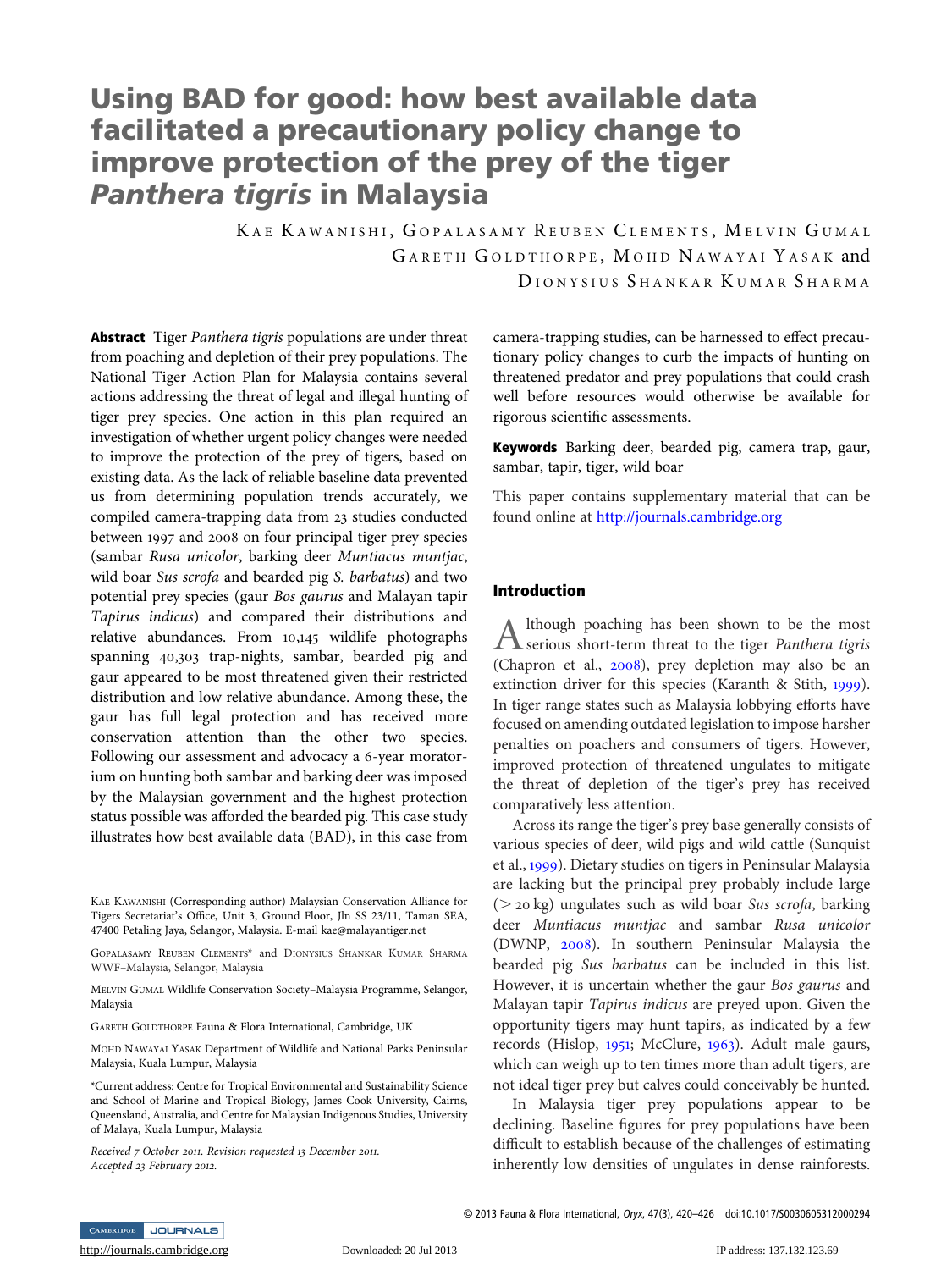# Using BAD for good: how best available data facilitated a precautionary policy change to improve protection of the prey of the tiger Panthera tigris in Malaysia

KAE KAWANISHI, GOPALASAMY REUBEN CLEMENTS, MELVIN GUMAL G ARETH G OLDTHORPE , M OHD N AWAYAI Y ASAK and DIONYSIUS SHANKAR KUMAR SHARMA

Abstract Tiger Panthera tigris populations are under threat from poaching and depletion of their prey populations. The National Tiger Action Plan for Malaysia contains several actions addressing the threat of legal and illegal hunting of tiger prey species. One action in this plan required an investigation of whether urgent policy changes were needed to improve the protection of the prey of tigers, based on existing data. As the lack of reliable baseline data prevented us from determining population trends accurately, we compiled camera-trapping data from 23 studies conducted between 1997 and 2008 on four principal tiger prey species (sambar Rusa unicolor, barking deer Muntiacus muntjac, wild boar Sus scrofa and bearded pig S. barbatus) and two potential prey species (gaur Bos gaurus and Malayan tapir Tapirus indicus) and compared their distributions and relative abundances. From 10,145 wildlife photographs spanning 40,303 trap-nights, sambar, bearded pig and gaur appeared to be most threatened given their restricted distribution and low relative abundance. Among these, the gaur has full legal protection and has received more conservation attention than the other two species. Following our assessment and advocacy a 6-year moratorium on hunting both sambar and barking deer was imposed by the Malaysian government and the highest protection status possible was afforded the bearded pig. This case study illustrates how best available data (BAD), in this case from

MELVIN GUMAL Wildlife Conservation Society–Malaysia Programme, Selangor, Malaysia

GARETH GOLDTHORPE Fauna & Flora International, Cambridge, UK

MOHD NAWAYAI YASAK Department of Wildlife and National Parks Peninsular Malaysia, Kuala Lumpur, Malaysia

\*Current address: Centre for Tropical Environmental and Sustainability Science and School of Marine and Tropical Biology, James Cook University, Cairns, Queensland, Australia, and Centre for Malaysian Indigenous Studies, University of Malaya, Kuala Lumpur, Malaysia

Received 7 October 2011. Revision requested 13 December 2011. Accepted 23 February 2012.

camera-trapping studies, can be harnessed to effect precautionary policy changes to curb the impacts of hunting on threatened predator and prey populations that could crash well before resources would otherwise be available for rigorous scientific assessments.

Keywords Barking deer, bearded pig, camera trap, gaur, sambar, tapir, tiger, wild boar

This paper contains supplementary material that can be found online at <http://journals.cambridge.org>

## Introduction

Although poaching has been shown to be the most<br>serious short-term threat to the tiger *Panthera tigris* (Chapron et al., [2008](#page-5-0)), prey depletion may also be an extinction driver for this species (Karanth & Stith, [1999](#page-5-0)). In tiger range states such as Malaysia lobbying efforts have focused on amending outdated legislation to impose harsher penalties on poachers and consumers of tigers. However, improved protection of threatened ungulates to mitigate the threat of depletion of the tiger's prey has received comparatively less attention.

Across its range the tiger's prey base generally consists of various species of deer, wild pigs and wild cattle (Sunquist et al., [1999](#page-6-0)). Dietary studies on tigers in Peninsular Malaysia are lacking but the principal prey probably include large ( $>$  20 kg) ungulates such as wild boar Sus scrofa, barking deer Muntiacus muntjac and sambar Rusa unicolor (DWNP, [2008](#page-5-0)). In southern Peninsular Malaysia the bearded pig Sus barbatus can be included in this list. However, it is uncertain whether the gaur Bos gaurus and Malayan tapir Tapirus indicus are preyed upon. Given the opportunity tigers may hunt tapirs, as indicated by a few records (Hislop, [1951](#page-5-0); McClure, [1963](#page-6-0)). Adult male gaurs, which can weigh up to ten times more than adult tigers, are not ideal tiger prey but calves could conceivably be hunted.

In Malaysia tiger prey populations appear to be declining. Baseline figures for prey populations have been difficult to establish because of the challenges of estimating inherently low densities of ungulates in dense rainforests.

© 2013 Fauna & Flora International, Oryx, 47(3), 420–426 doi:10.1017/S0030605312000294

CAMBRIDGE JOURNALS

KAE KAWANISHI (Corresponding author) Malaysian Conservation Alliance for Tigers Secretariat's Office, Unit 3, Ground Floor, Jln SS 23/11, Taman SEA, 47400 Petaling Jaya, Selangor, Malaysia. E-mail kae@malayantiger.net

GOPALASAMY REUBEN CLEMENTS\* and DIONYSIUS SHANKAR KUMAR SHARMA WWF–Malaysia, Selangor, Malaysia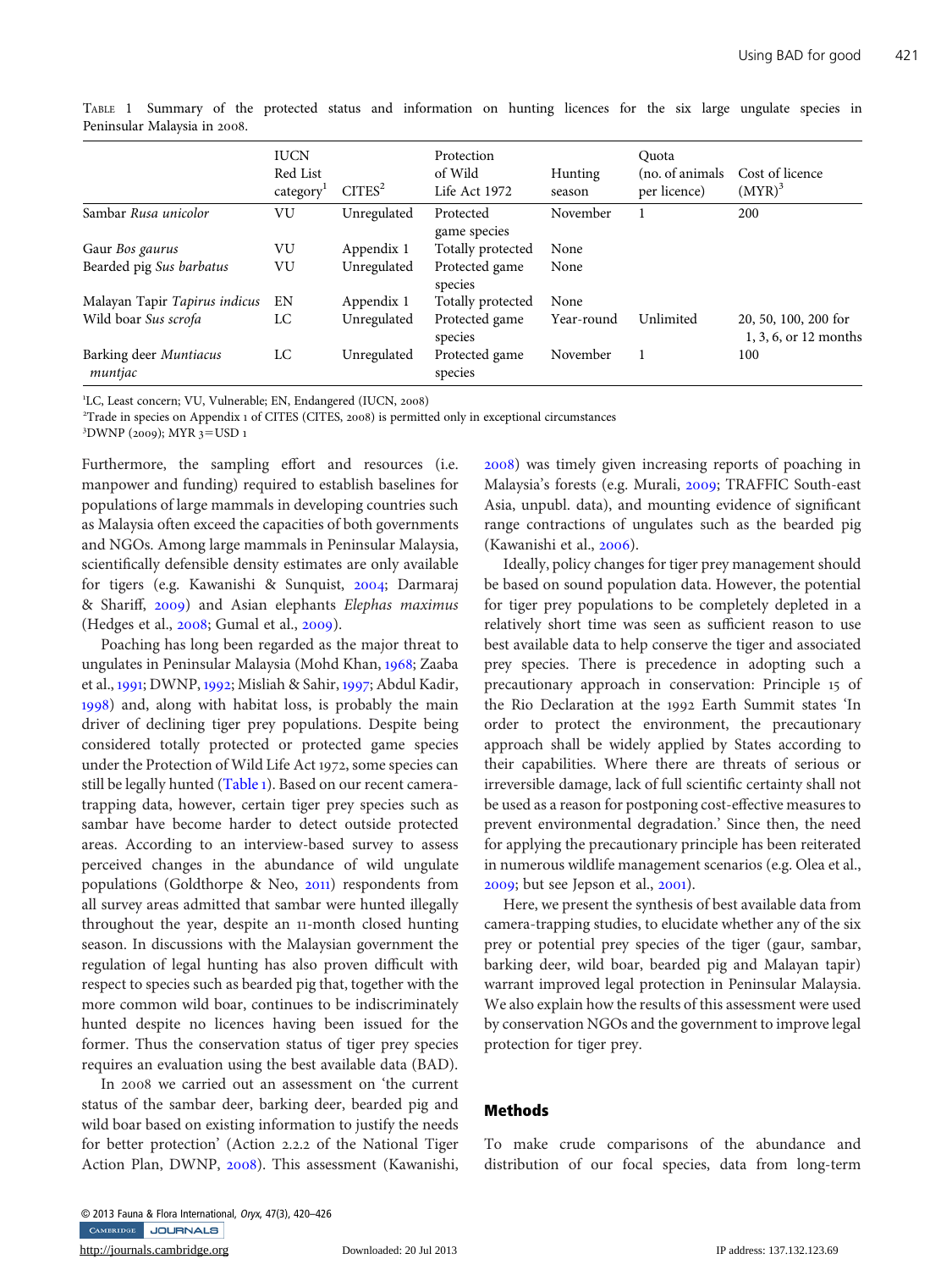|                                   | <b>IUCN</b><br>Red List<br>category | CITER <sup>2</sup> | Protection<br>of Wild<br>Life Act 1972 | Hunting<br>season | Quota<br>(no. of animals)<br>per licence) | Cost of licence<br>$(MYR)^3$                  |
|-----------------------------------|-------------------------------------|--------------------|----------------------------------------|-------------------|-------------------------------------------|-----------------------------------------------|
| Sambar Rusa unicolor              | VU                                  | Unregulated        | Protected<br>game species              | November          |                                           | 200                                           |
| Gaur Bos gaurus                   | VU                                  | Appendix 1         | Totally protected                      | None              |                                           |                                               |
| Bearded pig Sus barbatus          | VU                                  | Unregulated        | Protected game<br>species              | None              |                                           |                                               |
| Malayan Tapir Tapirus indicus     | EN                                  | Appendix 1         | Totally protected                      | None              |                                           |                                               |
| Wild boar Sus scrofa              | LC                                  | Unregulated        | Protected game<br>species              | Year-round        | Unlimited                                 | 20, 50, 100, 200 for<br>1, 3, 6, or 12 months |
| Barking deer Muntiacus<br>muntjac | LC                                  | Unregulated        | Protected game<br>species              | November          |                                           | 100                                           |

TABLE 1 Summary of the protected status and information on hunting licences for the six large ungulate species in Peninsular Malaysia in 2008.

<sup>1</sup>LC, Least concern; VU, Vulnerable; EN, Endangered (IUCN, 2008)<sup>2</sup>Trade in species on Appendix 1 of CITES (CITES 2008) is permitt

<sup>2</sup>Trade in species on Appendix 1 of CITES (CITES, 2008) is permitted only in exceptional circumstances

 ${}^{3}$ DWNP (2009); MYR 3=USD 1

Furthermore, the sampling effort and resources (i.e. manpower and funding) required to establish baselines for populations of large mammals in developing countries such as Malaysia often exceed the capacities of both governments and NGOs. Among large mammals in Peninsular Malaysia, scientifically defensible density estimates are only available for tigers (e.g. Kawanishi & Sunquist, [2004](#page-6-0); Darmaraj & Shariff, [2009](#page-5-0)) and Asian elephants Elephas maximus (Hedges et al., [2008](#page-5-0); Gumal et al., [2009](#page-5-0)).

Poaching has long been regarded as the major threat to ungulates in Peninsular Malaysia (Mohd Khan, [1968](#page-6-0); Zaaba et al., [1991](#page-6-0); DWNP, [1992](#page-5-0); Misliah & Sahir, [1997](#page-6-0); Abdul Kadir, [1998](#page-5-0)) and, along with habitat loss, is probably the main driver of declining tiger prey populations. Despite being considered totally protected or protected game species under the Protection of Wild Life Act 1972, some species can still be legally hunted (Table 1). Based on our recent cameratrapping data, however, certain tiger prey species such as sambar have become harder to detect outside protected areas. According to an interview-based survey to assess perceived changes in the abundance of wild ungulate populations (Goldthorpe & Neo, [2011](#page-5-0)) respondents from all survey areas admitted that sambar were hunted illegally throughout the year, despite an 11-month closed hunting season. In discussions with the Malaysian government the regulation of legal hunting has also proven difficult with respect to species such as bearded pig that, together with the more common wild boar, continues to be indiscriminately hunted despite no licences having been issued for the former. Thus the conservation status of tiger prey species requires an evaluation using the best available data (BAD).

In 2008 we carried out an assessment on 'the current status of the sambar deer, barking deer, bearded pig and wild boar based on existing information to justify the needs for better protection' (Action 2.2.2 of the National Tiger Action Plan, DWNP, [2008](#page-5-0)). This assessment (Kawanishi,

[2008](#page-5-0)) was timely given increasing reports of poaching in Malaysia's forests (e.g. Murali, [2009](#page-6-0); TRAFFIC South-east Asia, unpubl. data), and mounting evidence of significant range contractions of ungulates such as the bearded pig (Kawanishi et al., [2006](#page-6-0)).

Ideally, policy changes for tiger prey management should be based on sound population data. However, the potential for tiger prey populations to be completely depleted in a relatively short time was seen as sufficient reason to use best available data to help conserve the tiger and associated prey species. There is precedence in adopting such a precautionary approach in conservation: Principle 15 of the Rio Declaration at the 1992 Earth Summit states 'In order to protect the environment, the precautionary approach shall be widely applied by States according to their capabilities. Where there are threats of serious or irreversible damage, lack of full scientific certainty shall not be used as a reason for postponing cost-effective measures to prevent environmental degradation.' Since then, the need for applying the precautionary principle has been reiterated in numerous wildlife management scenarios (e.g. Olea et al., [2009](#page-6-0); but see Jepson et al., [2001](#page-5-0)).

Here, we present the synthesis of best available data from camera-trapping studies, to elucidate whether any of the six prey or potential prey species of the tiger (gaur, sambar, barking deer, wild boar, bearded pig and Malayan tapir) warrant improved legal protection in Peninsular Malaysia. We also explain how the results of this assessment were used by conservation NGOs and the government to improve legal protection for tiger prey.

## Methods

To make crude comparisons of the abundance and distribution of our focal species, data from long-term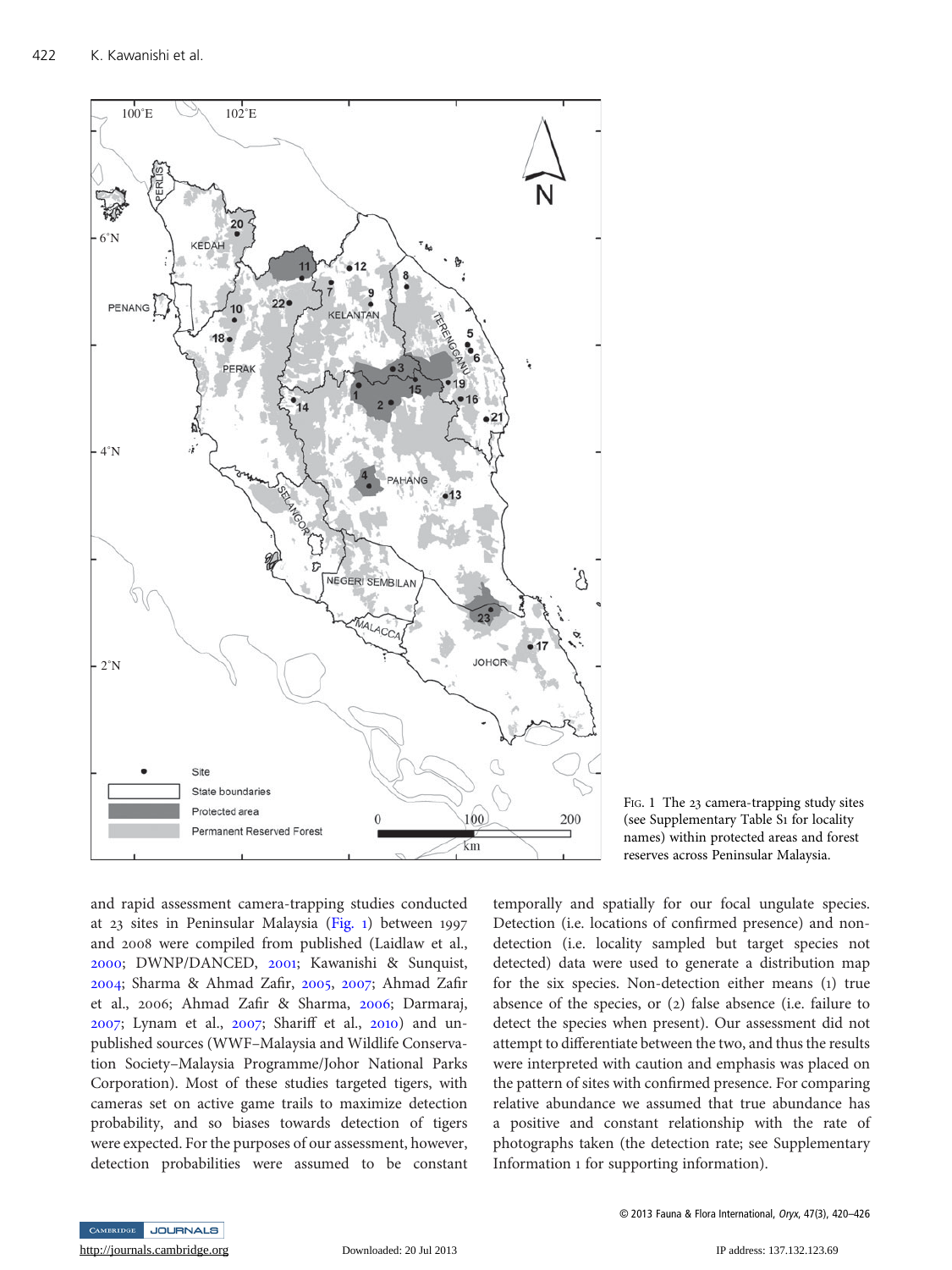

and rapid assessment camera-trapping studies conducted at 23 sites in Peninsular Malaysia (Fig. 1) between 1997 and 2008 were compiled from published (Laidlaw et al., [2000](#page-6-0); DWNP/DANCED, [2001](#page-5-0); Kawanishi & Sunquist, [2004](#page-6-0); Sharma & Ahmad Zafir, [2005](#page-6-0), [2007](#page-6-0); Ahmad Zafir et al., 2006; Ahmad Zafir & Sharma, [2006](#page-5-0); Darmaraj, [2007](#page-5-0); Lynam et al., [2007](#page-6-0); Shariff et al., [2010](#page-6-0)) and unpublished sources (WWF–Malaysia and Wildlife Conservation Society–Malaysia Programme/Johor National Parks Corporation). Most of these studies targeted tigers, with cameras set on active game trails to maximize detection probability, and so biases towards detection of tigers were expected. For the purposes of our assessment, however, detection probabilities were assumed to be constant

FIG. 1 The 23 camera-trapping study sites (see Supplementary Table S1 for locality names) within protected areas and forest reserves across Peninsular Malaysia.

temporally and spatially for our focal ungulate species. Detection (i.e. locations of confirmed presence) and nondetection (i.e. locality sampled but target species not detected) data were used to generate a distribution map for the six species. Non-detection either means (1) true absence of the species, or (2) false absence (i.e. failure to detect the species when present). Our assessment did not attempt to differentiate between the two, and thus the results were interpreted with caution and emphasis was placed on the pattern of sites with confirmed presence. For comparing relative abundance we assumed that true abundance has a positive and constant relationship with the rate of photographs taken (the detection rate; see Supplementary Information 1 for supporting information).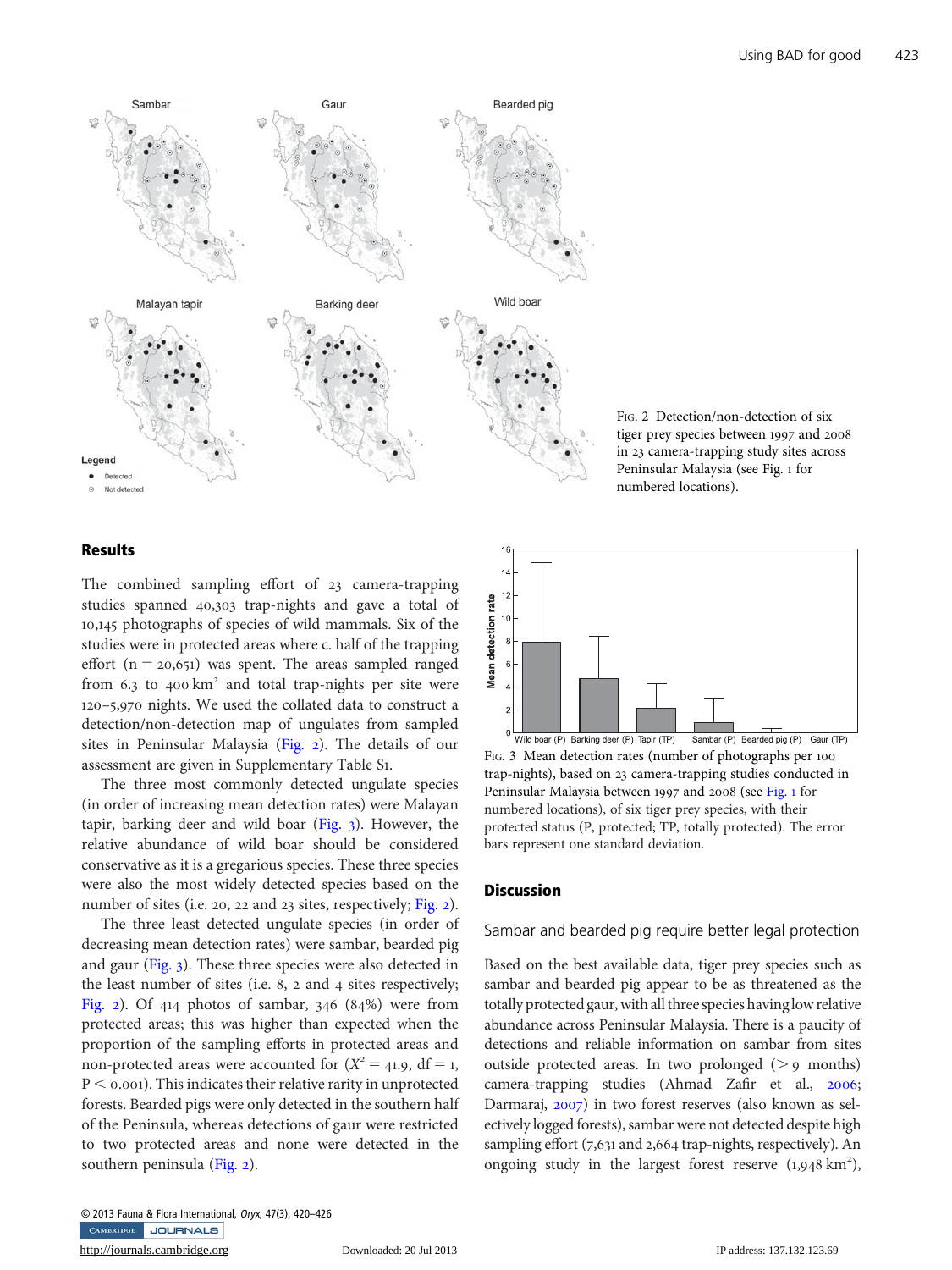

FIG. 2 Detection/non-detection of six tiger prey species between 1997 and 2008 in 23 camera-trapping study sites across Peninsular Malaysia (see Fig. 1 for numbered locations).

## Results

The combined sampling effort of 23 camera-trapping studies spanned 40,303 trap-nights and gave a total of 10,145 photographs of species of wild mammals. Six of the studies were in protected areas where c. half of the trapping effort  $(n = 20,651)$  was spent. The areas sampled ranged from  $6.3$  to  $400 \text{ km}^2$  and total trap-nights per site were 120–5,970 nights. We used the collated data to construct a detection/non-detection map of ungulates from sampled sites in Peninsular Malaysia (Fig. 2). The details of our assessment are given in Supplementary Table S1.

The three most commonly detected ungulate species (in order of increasing mean detection rates) were Malayan tapir, barking deer and wild boar (Fig. 3). However, the relative abundance of wild boar should be considered conservative as it is a gregarious species. These three species were also the most widely detected species based on the number of sites (i.e. 20, 22 and 23 sites, respectively; Fig. 2).

The three least detected ungulate species (in order of decreasing mean detection rates) were sambar, bearded pig and gaur (Fig. 3). These three species were also detected in the least number of sites (i.e. 8, 2 and 4 sites respectively; Fig. 2). Of 414 photos of sambar, 346 (84%) were from protected areas; this was higher than expected when the proportion of the sampling efforts in protected areas and non-protected areas were accounted for  $(X^2 = 41.9, df = 1,$  $P \le 0.001$ . This indicates their relative rarity in unprotected forests. Bearded pigs were only detected in the southern half of the Peninsula, whereas detections of gaur were restricted to two protected areas and none were detected in the southern peninsula (Fig. 2).

<http://journals.cambridge.org> Downloaded: 20 Jul 2013 IP address: 137.132.123.69



FIG. 3 Mean detection rates (number of photographs per 100 trap-nights), based on 23 camera-trapping studies conducted in Peninsular Malaysia between 1997 and 2008 (see Fig. 1 for numbered locations), of six tiger prey species, with their protected status (P, protected; TP, totally protected). The error bars represent one standard deviation.

## **Discussion**

#### Sambar and bearded pig require better legal protection

Based on the best available data, tiger prey species such as sambar and bearded pig appear to be as threatened as the totally protected gaur, with all three species having low relative abundance across Peninsular Malaysia. There is a paucity of detections and reliable information on sambar from sites outside protected areas. In two prolonged  $(> 9$  months) camera-trapping studies (Ahmad Zafir et al., [2006](#page-5-0); Darmaraj, [2007](#page-5-0)) in two forest reserves (also known as selectively logged forests), sambar were not detected despite high sampling effort (7,631 and 2,664 trap-nights, respectively). An ongoing study in the largest forest reserve  $(1,948 \text{ km}^2)$ ,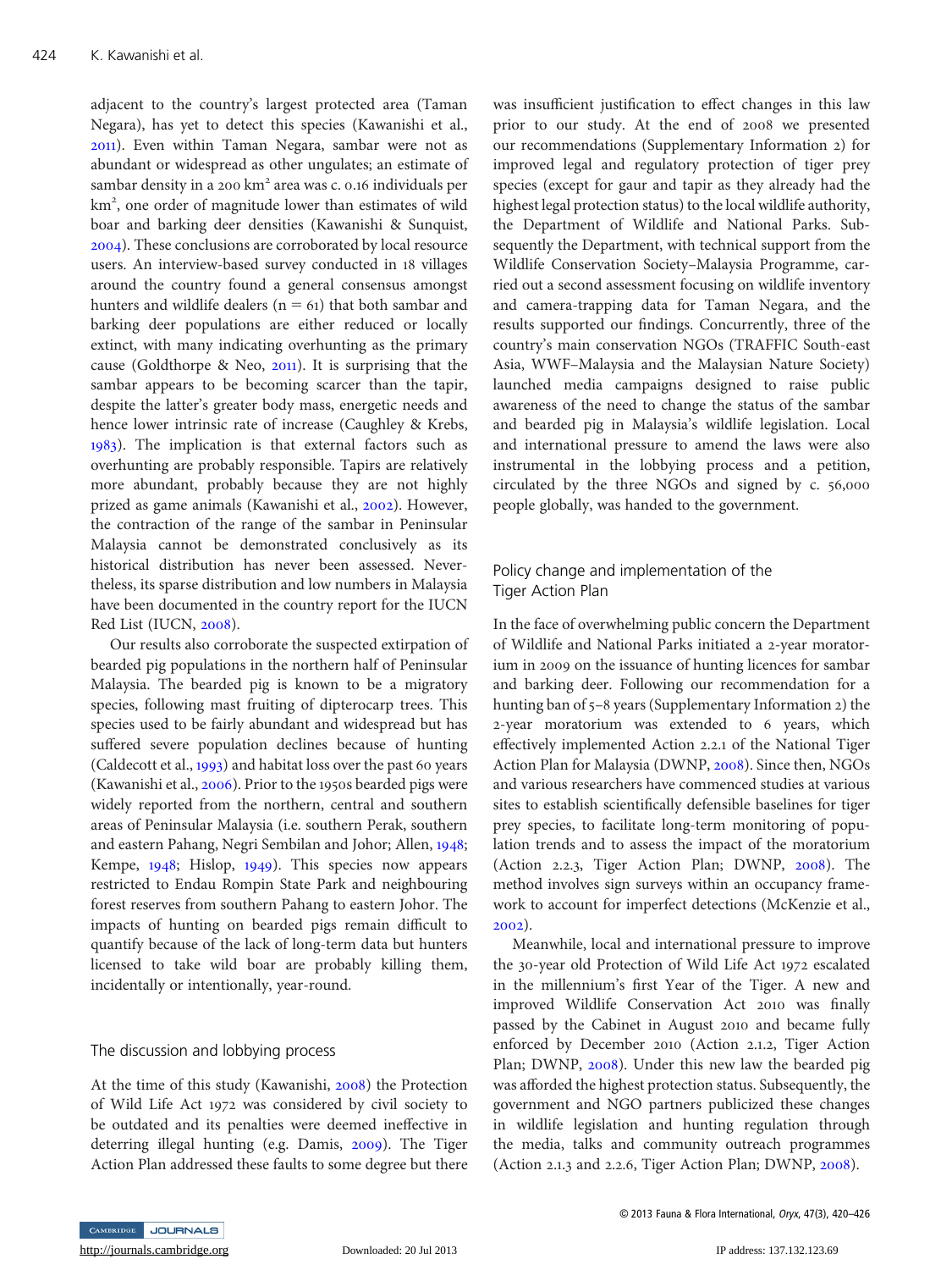adjacent to the country's largest protected area (Taman Negara), has yet to detect this species (Kawanishi et al., [2011](#page-6-0)). Even within Taman Negara, sambar were not as abundant or widespread as other ungulates; an estimate of sambar density in a 200 km<sup>2</sup> area was c. 0.16 individuals per km<sup>2</sup>, one order of magnitude lower than estimates of wild boar and barking deer densities (Kawanishi & Sunquist, [2004](#page-6-0)). These conclusions are corroborated by local resource users. An interview-based survey conducted in 18 villages around the country found a general consensus amongst hunters and wildlife dealers ( $n = 61$ ) that both sambar and barking deer populations are either reduced or locally extinct, with many indicating overhunting as the primary cause (Goldthorpe & Neo, [2011](#page-5-0)). It is surprising that the sambar appears to be becoming scarcer than the tapir, despite the latter's greater body mass, energetic needs and hence lower intrinsic rate of increase (Caughley & Krebs, [1983](#page-5-0)). The implication is that external factors such as overhunting are probably responsible. Tapirs are relatively more abundant, probably because they are not highly prized as game animals (Kawanishi et al., [2002](#page-6-0)). However, the contraction of the range of the sambar in Peninsular Malaysia cannot be demonstrated conclusively as its historical distribution has never been assessed. Nevertheless, its sparse distribution and low numbers in Malaysia have been documented in the country report for the IUCN Red List (IUCN, [2008](#page-5-0)).

Our results also corroborate the suspected extirpation of bearded pig populations in the northern half of Peninsular Malaysia. The bearded pig is known to be a migratory species, following mast fruiting of dipterocarp trees. This species used to be fairly abundant and widespread but has suffered severe population declines because of hunting (Caldecott et al., [1993](#page-5-0)) and habitat loss over the past 60 years (Kawanishi et al., [2006](#page-6-0)). Prior to the 1950s bearded pigs were widely reported from the northern, central and southern areas of Peninsular Malaysia (i.e. southern Perak, southern and eastern Pahang, Negri Sembilan and Johor; Allen, [1948](#page-5-0); Kempe, [1948](#page-6-0); Hislop, [1949](#page-5-0)). This species now appears restricted to Endau Rompin State Park and neighbouring forest reserves from southern Pahang to eastern Johor. The impacts of hunting on bearded pigs remain difficult to quantify because of the lack of long-term data but hunters licensed to take wild boar are probably killing them, incidentally or intentionally, year-round.

#### The discussion and lobbying process

At the time of this study (Kawanishi, [2008](#page-5-0)) the Protection of Wild Life Act 1972 was considered by civil society to be outdated and its penalties were deemed ineffective in deterring illegal hunting (e.g. Damis, [2009](#page-5-0)). The Tiger Action Plan addressed these faults to some degree but there

was insufficient justification to effect changes in this law prior to our study. At the end of 2008 we presented our recommendations (Supplementary Information 2) for improved legal and regulatory protection of tiger prey species (except for gaur and tapir as they already had the highest legal protection status) to the local wildlife authority, the Department of Wildlife and National Parks. Subsequently the Department, with technical support from the Wildlife Conservation Society–Malaysia Programme, carried out a second assessment focusing on wildlife inventory and camera-trapping data for Taman Negara, and the results supported our findings. Concurrently, three of the country's main conservation NGOs (TRAFFIC South-east Asia, WWF–Malaysia and the Malaysian Nature Society) launched media campaigns designed to raise public awareness of the need to change the status of the sambar and bearded pig in Malaysia's wildlife legislation. Local and international pressure to amend the laws were also instrumental in the lobbying process and a petition, circulated by the three NGOs and signed by c. 56,000 people globally, was handed to the government.

## Policy change and implementation of the Tiger Action Plan

In the face of overwhelming public concern the Department of Wildlife and National Parks initiated a 2-year moratorium in 2009 on the issuance of hunting licences for sambar and barking deer. Following our recommendation for a hunting ban of 5–8 years (Supplementary Information 2) the 2-year moratorium was extended to 6 years, which effectively implemented Action 2.2.1 of the National Tiger Action Plan for Malaysia (DWNP, [2008](#page-5-0)). Since then, NGOs and various researchers have commenced studies at various sites to establish scientifically defensible baselines for tiger prey species, to facilitate long-term monitoring of population trends and to assess the impact of the moratorium (Action 2.2.3, Tiger Action Plan; DWNP, [2008](#page-5-0)). The method involves sign surveys within an occupancy framework to account for imperfect detections (McKenzie et al., [2002](#page-6-0)).

Meanwhile, local and international pressure to improve the 30-year old Protection of Wild Life Act 1972 escalated in the millennium's first Year of the Tiger. A new and improved Wildlife Conservation Act 2010 was finally passed by the Cabinet in August 2010 and became fully enforced by December 2010 (Action 2.1.2, Tiger Action Plan; DWNP, [2008](#page-5-0)). Under this new law the bearded pig was afforded the highest protection status. Subsequently, the government and NGO partners publicized these changes in wildlife legislation and hunting regulation through the media, talks and community outreach programmes (Action 2.1.3 and 2.2.6, Tiger Action Plan; DWNP, [2008](#page-5-0)).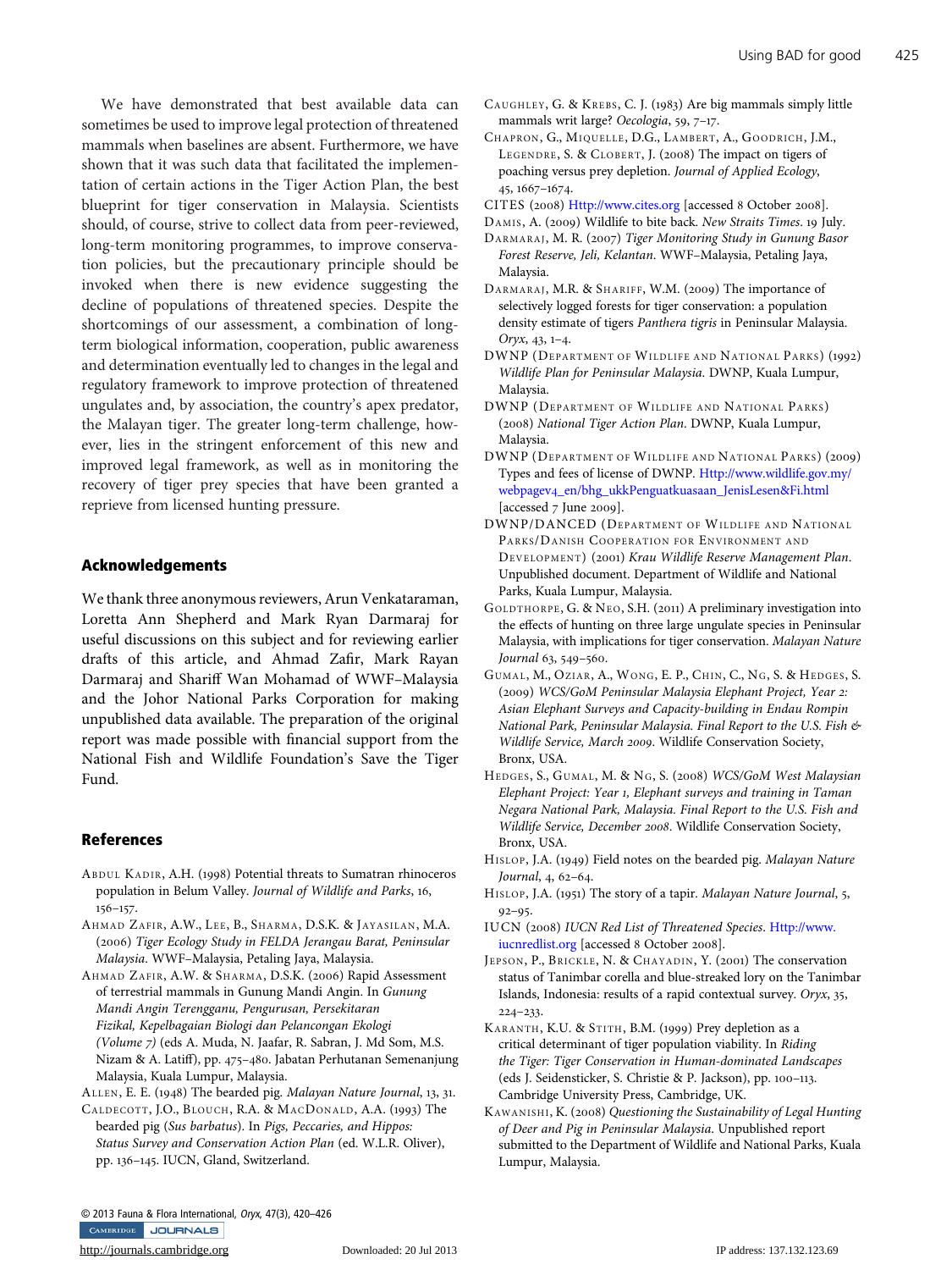<span id="page-5-0"></span>We have demonstrated that best available data can sometimes be used to improve legal protection of threatened mammals when baselines are absent. Furthermore, we have shown that it was such data that facilitated the implementation of certain actions in the Tiger Action Plan, the best blueprint for tiger conservation in Malaysia. Scientists should, of course, strive to collect data from peer-reviewed, long-term monitoring programmes, to improve conservation policies, but the precautionary principle should be invoked when there is new evidence suggesting the decline of populations of threatened species. Despite the shortcomings of our assessment, a combination of longterm biological information, cooperation, public awareness and determination eventually led to changes in the legal and regulatory framework to improve protection of threatened ungulates and, by association, the country's apex predator, the Malayan tiger. The greater long-term challenge, however, lies in the stringent enforcement of this new and improved legal framework, as well as in monitoring the recovery of tiger prey species that have been granted a reprieve from licensed hunting pressure.

### Acknowledgements

We thank three anonymous reviewers, Arun Venkataraman, Loretta Ann Shepherd and Mark Ryan Darmaraj for useful discussions on this subject and for reviewing earlier drafts of this article, and Ahmad Zafir, Mark Rayan Darmaraj and Shariff Wan Mohamad of WWF–Malaysia and the Johor National Parks Corporation for making unpublished data available. The preparation of the original report was made possible with financial support from the National Fish and Wildlife Foundation's Save the Tiger Fund.

#### References

- ABDUL KADIR, A.H. (1998) Potential threats to Sumatran rhinoceros population in Belum Valley. Journal of Wildlife and Parks, 16, 156–157.
- AHMAD ZAFIR, A.W., LEE, B., SHARMA, D.S.K. & JAYASILAN, M.A. (2006) Tiger Ecology Study in FELDA Jerangau Barat, Peninsular Malaysia. WWF–Malaysia, Petaling Jaya, Malaysia.
- AHMAD ZAFIR, A.W. & SHARMA, D.S.K. (2006) Rapid Assessment of terrestrial mammals in Gunung Mandi Angin. In Gunung Mandi Angin Terengganu, Pengurusan, Persekitaran Fizikal, Kepelbagaian Biologi dan Pelancongan Ekologi (Volume 7) (eds A. Muda, N. Jaafar, R. Sabran, J. Md Som, M.S. Nizam & A. Latiff), pp. 475–480. Jabatan Perhutanan Semenanjung Malaysia, Kuala Lumpur, Malaysia.

ALLEN, E. E. (1948) The bearded pig. Malayan Nature Journal, 13, 31.

CALDECOTT, J.O., BLOUCH, R.A. & MACDONALD, A.A. (1993) The bearded pig (Sus barbatus). In Pigs, Peccaries, and Hippos: Status Survey and Conservation Action Plan (ed. W.L.R. Oliver), pp. 136–145. IUCN, Gland, Switzerland.

- CAUGHLEY, G. & KREBS, C. J. (1983) Are big mammals simply little mammals writ large? Oecologia, 59, 7–17.
- CHAPRON, G., MIQUELLE, D.G., LAMBERT, A., GOODRICH, J.M., LEGENDRE, S. & CLOBERT, J. (2008) The impact on tigers of poaching versus prey depletion. Journal of Applied Ecology, 45, 1667–1674.
- CITES (2008) <Http://www.cites.org> [accessed 8 October 2008].
- DAMIS, A. (2009) Wildlife to bite back. New Straits Times. 19 July.
- DARMARAJ, M. R. (2007) Tiger Monitoring Study in Gunung Basor Forest Reserve, Jeli, Kelantan. WWF–Malaysia, Petaling Jaya, Malaysia.
- DARMARAJ, M.R. & SHARIFF, W.M. (2009) The importance of selectively logged forests for tiger conservation: a population density estimate of tigers Panthera tigris in Peninsular Malaysia. Oryx, 43, 1–4.
- DWNP (DEPARTMENT OF WILDLIFE AND NATIONAL PARKS) (1992) Wildlife Plan for Peninsular Malaysia. DWNP, Kuala Lumpur, Malaysia.
- DWNP (DEPARTMENT OF WILDLIFE AND NATIONAL PARKS) (2008) National Tiger Action Plan. DWNP, Kuala Lumpur, Malaysia.
- DWNP (DEPARTMENT OF WILDLIFE AND NATIONAL PARKS) (2009) Types and fees of license of DWNP. [Http://www.wildlife.gov.my/](Http://www.wildlife.gov.my/webpagev4_en/bhg_ukkPenguatkuasaan_JenisLesen&Fi.html) webpagev4[\\_en/bhg\\_ukkPenguatkuasaan\\_JenisLesen&Fi.html](Http://www.wildlife.gov.my/webpagev4_en/bhg_ukkPenguatkuasaan_JenisLesen&Fi.html) [accessed 7 June 2009].
- DWNP/DANCED (DEPARTMENT OF WILDLIFE AND NATIONAL PARKS/DANISH COOPERATION FOR ENVIRONMENT AND DEVELOPMENT) (2001) Krau Wildlife Reserve Management Plan. Unpublished document. Department of Wildlife and National Parks, Kuala Lumpur, Malaysia.
- GOLDTHORPE, G. & NEO, S.H. (2011) A preliminary investigation into the effects of hunting on three large ungulate species in Peninsular Malaysia, with implications for tiger conservation. Malayan Nature Journal 63, 549–560.
- GUMAL, M., OZIAR, A., WONG, E. P., CHIN, C., NG, S. & HEDGES, S. (2009) WCS/GoM Peninsular Malaysia Elephant Project, Year 2: Asian Elephant Surveys and Capacity-building in Endau Rompin National Park, Peninsular Malaysia. Final Report to the U.S. Fish & Wildlife Service, March 2009. Wildlife Conservation Society, Bronx, USA.
- HEDGES, S., GUMAL, M. & NG, S. (2008) WCS/GoM West Malaysian Elephant Project: Year 1, Elephant surveys and training in Taman Negara National Park, Malaysia. Final Report to the U.S. Fish and Wildlife Service, December 2008. Wildlife Conservation Society, Bronx, USA.
- HISLOP, J.A. (1949) Field notes on the bearded pig. Malayan Nature Journal, 4, 62–64.
- HISLOP, J.A. (1951) The story of a tapir. Malayan Nature Journal, 5,  $92 - 95.$
- IUCN (2008) IUCN Red List of Threatened Species. [Http://www.](Http://www.iucnredlist.org) [iucnredlist.org](Http://www.iucnredlist.org) [accessed 8 October 2008].
- JEPSON, P., BRICKLE, N. & CHAYADIN, Y. (2001) The conservation status of Tanimbar corella and blue-streaked lory on the Tanimbar Islands, Indonesia: results of a rapid contextual survey. Oryx, 35, 224–233.
- KARANTH, K.U. & STITH, B.M. (1999) Prey depletion as a critical determinant of tiger population viability. In Riding the Tiger: Tiger Conservation in Human-dominated Landscapes (eds J. Seidensticker, S. Christie & P. Jackson), pp. 100–113. Cambridge University Press, Cambridge, UK.
- KAWANISHI, K. (2008) Questioning the Sustainability of Legal Hunting of Deer and Pig in Peninsular Malaysia. Unpublished report submitted to the Department of Wildlife and National Parks, Kuala Lumpur, Malaysia.

© 2013 Fauna & Flora International, Oryx, 47(3), 420–426CAMBRIDGE JOURNALS

<http://journals.cambridge.org> Downloaded: 20 Jul 2013 IP address: 137.132.123.69